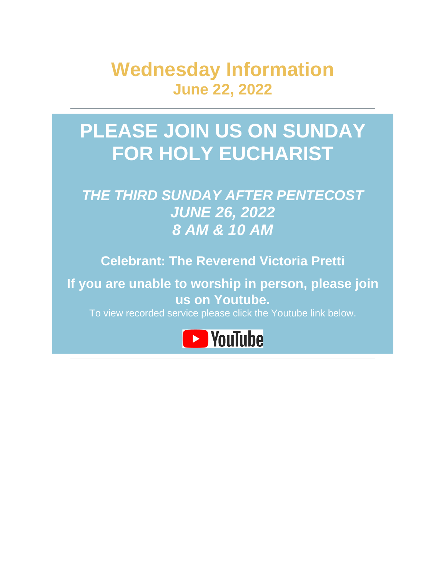**Wednesday Information June 22, 2022**

# **PLEASE JOIN US ON SUNDAY FOR HOLY EUCHARIST**

## *THE THIRD SUNDAY AFTER PENTECOST JUNE 26, 2022 8 AM & 10 AM*

**Celebrant: The Reverend Victoria Pretti**

**If you are unable to worship in person, please join us on Youtube.**

To view recorded service please click the Youtube link below.

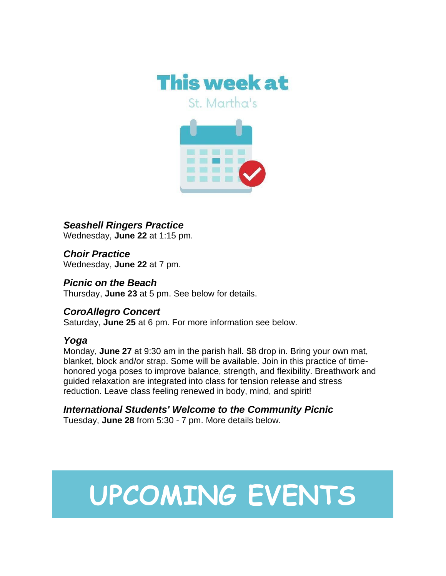

St. Martha's



*Seashell Ringers Practice* Wednesday, **June 22** at 1:15 pm.

*Choir Practice* Wednesday, **June 22** at 7 pm.

*Picnic on the Beach* Thursday, **June 23** at 5 pm. See below for details.

#### *CoroAllegro Concert*

Saturday, **June 25** at 6 pm. For more information see below.

#### *Yoga*

Monday, **June 27** at 9:30 am in the parish hall. \$8 drop in. Bring your own mat, blanket, block and/or strap. Some will be available. Join in this practice of timehonored yoga poses to improve balance, strength, and flexibility. Breathwork and guided relaxation are integrated into class for tension release and stress reduction. Leave class feeling renewed in body, mind, and spirit!

#### *International Students' Welcome to the Community Picnic*

Tuesday, **June 28** from 5:30 - 7 pm. More details below.

# **UPCOMING EVENTS**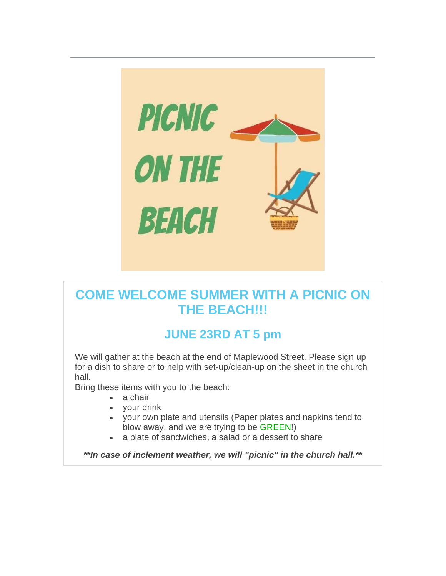

### **COME WELCOME SUMMER WITH A PICNIC ON THE BEACH!!!**

#### **JUNE 23RD AT 5 pm**

We will gather at the beach at the end of Maplewood Street. Please sign up for a dish to share or to help with set-up/clean-up on the sheet in the church hall.

Bring these items with you to the beach:

- a chair
- your drink
- your own plate and utensils (Paper plates and napkins tend to blow away, and we are trying to be GREEN!)
- a plate of sandwiches, a salad or a dessert to share

*\*\*In case of inclement weather, we will "picnic" in the church hall.\*\**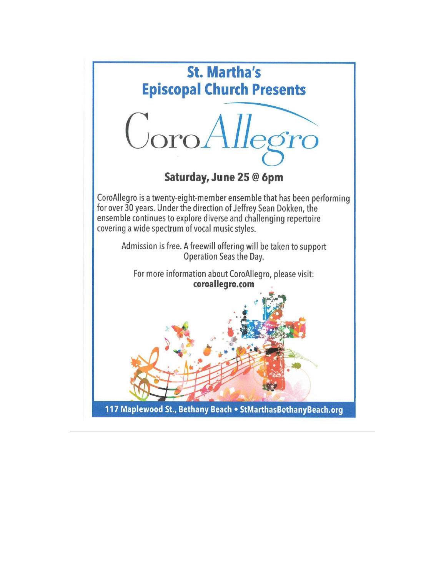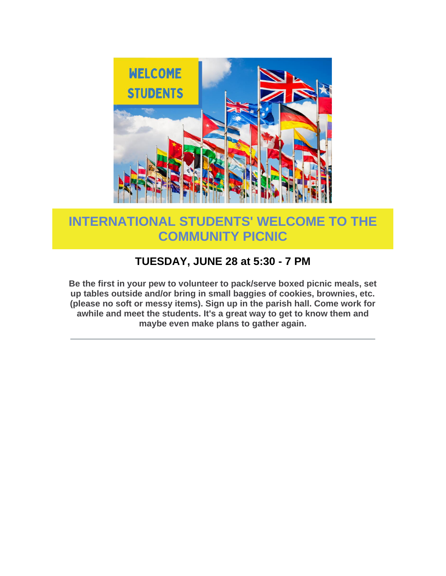

## **INTERNATIONAL STUDENTS' WELCOME TO THE COMMUNITY PICNIC**

#### **TUESDAY, JUNE 28 at 5:30 - 7 PM**

**Be the first in your pew to volunteer to pack/serve boxed picnic meals, set up tables outside and/or bring in small baggies of cookies, brownies, etc. (please no soft or messy items). Sign up in the parish hall. Come work for awhile and meet the students. It's a great way to get to know them and maybe even make plans to gather again.**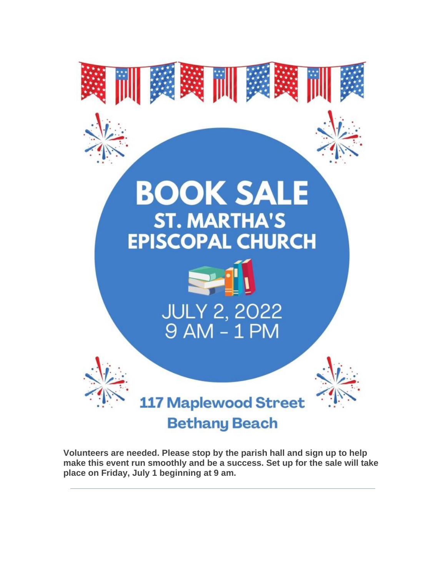

**Volunteers are needed. Please stop by the parish hall and sign up to help make this event run smoothly and be a success. Set up for the sale will take place on Friday, July 1 beginning at 9 am.**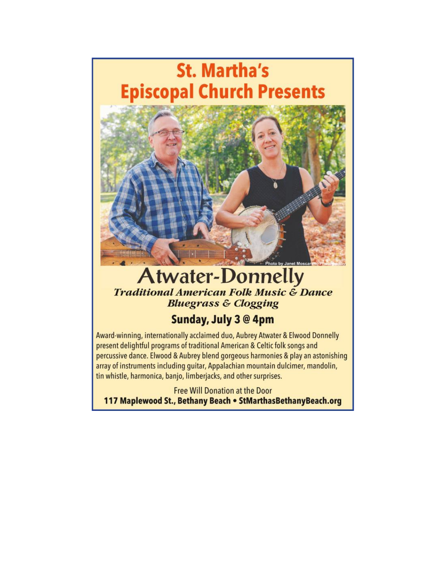# **St. Martha's Episcopal Church Presents**



## **Atwater-Donnelly Traditional American Folk Music & Dance Bluegrass & Clogging**

#### Sunday, July 3 @ 4pm

Award-winning, internationally acclaimed duo, Aubrey Atwater & Elwood Donnelly present delightful programs of traditional American & Celtic folk songs and percussive dance. Elwood & Aubrey blend gorgeous harmonies & play an astonishing array of instruments including quitar, Appalachian mountain dulcimer, mandolin, tin whistle, harmonica, banjo, limberjacks, and other surprises.

**Free Will Donation at the Door** 117 Maplewood St., Bethany Beach . StMarthasBethanyBeach.org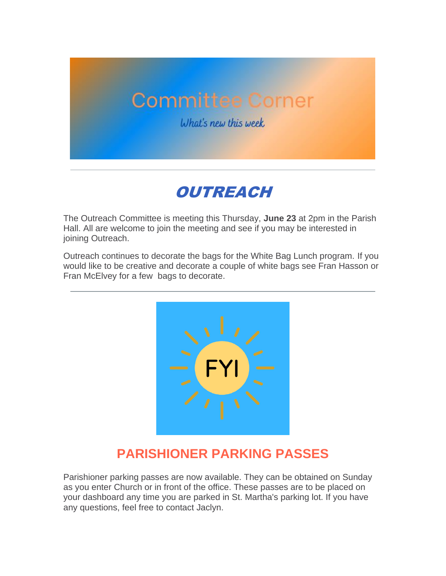# **Committee Corner**

What's new this week



The Outreach Committee is meeting this Thursday, **June 23** at 2pm in the Parish Hall. All are welcome to join the meeting and see if you may be interested in joining Outreach.

Outreach continues to decorate the bags for the White Bag Lunch program. If you would like to be creative and decorate a couple of white bags see Fran Hasson or Fran McElvey for a few bags to decorate.



#### **PARISHIONER PARKING PASSES**

Parishioner parking passes are now available. They can be obtained on Sunday as you enter Church or in front of the office. These passes are to be placed on your dashboard any time you are parked in St. Martha's parking lot. If you have any questions, feel free to contact Jaclyn.